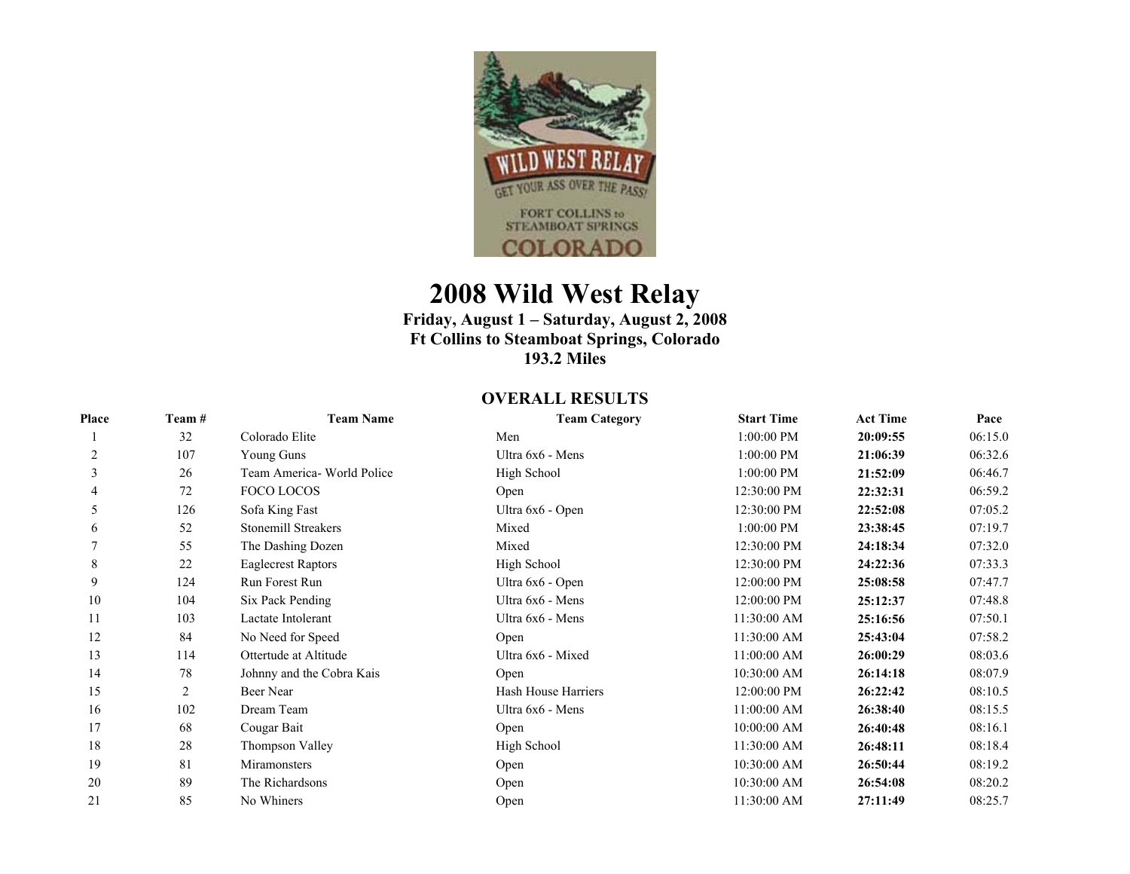

## **2008 Wild West Relay**

## **Friday, August 1 – Saturday, August 2, 2008 Ft Collins to Steamboat Springs, Colorado 193.2 Miles**

## **OVERALL RESULTS**

| Place | Team # | <b>Team Name</b>           | <b>Team Category</b> | <b>Start Time</b> | <b>Act Time</b> | Pace    |
|-------|--------|----------------------------|----------------------|-------------------|-----------------|---------|
|       | 32     | Colorado Elite             | Men                  | 1:00:00 PM        | 20:09:55        | 06:15.0 |
| 2     | 107    | Young Guns                 | Ultra 6x6 - Mens     | 1:00:00 PM        | 21:06:39        | 06:32.6 |
| 3     | 26     | Team America- World Police | High School          | 1:00:00 PM        | 21:52:09        | 06:46.7 |
| 4     | 72     | FOCO LOCOS                 | Open                 | 12:30:00 PM       | 22:32:31        | 06:59.2 |
| 5     | 126    | Sofa King Fast             | Ultra 6x6 - Open     | 12:30:00 PM       | 22:52:08        | 07:05.2 |
| 6     | 52     | Stonemill Streakers        | Mixed                | 1:00:00 PM        | 23:38:45        | 07:19.7 |
|       | 55     | The Dashing Dozen          | Mixed                | 12:30:00 PM       | 24:18:34        | 07:32.0 |
| 8     | 22     | <b>Eaglecrest Raptors</b>  | High School          | 12:30:00 PM       | 24:22:36        | 07:33.3 |
| 9     | 124    | Run Forest Run             | Ultra 6x6 - Open     | 12:00:00 PM       | 25:08:58        | 07:47.7 |
| 10    | 104    | Six Pack Pending           | Ultra 6x6 - Mens     | 12:00:00 PM       | 25:12:37        | 07:48.8 |
| 11    | 103    | Lactate Intolerant         | Ultra 6x6 - Mens     | 11:30:00 AM       | 25:16:56        | 07:50.1 |
| 12    | 84     | No Need for Speed          | Open                 | 11:30:00 AM       | 25:43:04        | 07:58.2 |
| 13    | 114    | Ottertude at Altitude      | Ultra 6x6 - Mixed    | 11:00:00 AM       | 26:00:29        | 08:03.6 |
| 14    | 78     | Johnny and the Cobra Kais  | Open                 | 10:30:00 AM       | 26:14:18        | 08:07.9 |
| 15    | 2      | Beer Near                  | Hash House Harriers  | 12:00:00 PM       | 26:22:42        | 08:10.5 |
| 16    | 102    | Dream Team                 | Ultra 6x6 - Mens     | 11:00:00 AM       | 26:38:40        | 08:15.5 |
| 17    | 68     | Cougar Bait                | Open                 | 10:00:00 AM       | 26:40:48        | 08:16.1 |
| 18    | 28     | Thompson Valley            | High School          | 11:30:00 AM       | 26:48:11        | 08:18.4 |
| 19    | 81     | Miramonsters               | Open                 | 10:30:00 AM       | 26:50:44        | 08:19.2 |
| 20    | 89     | The Richardsons            | Open                 | 10:30:00 AM       | 26:54:08        | 08:20.2 |
| 21    | 85     | No Whiners                 | Open                 | 11:30:00 AM       | 27:11:49        | 08:25.7 |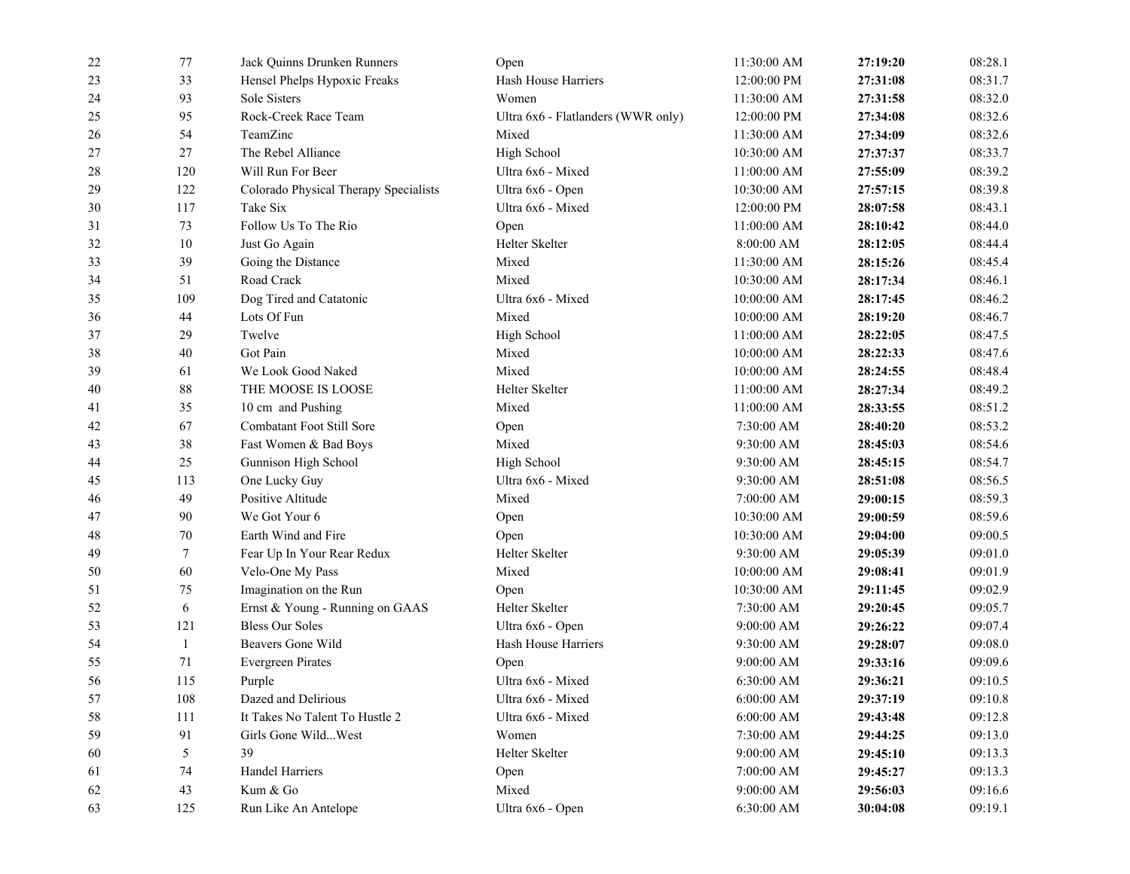| 33<br>12:00:00 PM<br>23<br>Hensel Phelps Hypoxic Freaks<br>Hash House Harriers<br>27:31:08<br><b>Sole Sisters</b><br>93<br>Women<br>24<br>11:30:00 AM<br>27:31:58<br>Rock-Creek Race Team<br>25<br>95<br>12:00:00 PM<br>27:34:08<br>Ultra 6x6 - Flatlanders (WWR only)<br>TeamZinc<br>26<br>54<br>Mixed<br>11:30:00 AM<br>27:34:09<br>27<br>The Rebel Alliance<br>High School<br>27<br>10:30:00 AM<br>27:37:37<br>Will Run For Beer<br>28<br>120<br>Ultra 6x6 - Mixed<br>11:00:00 AM<br>27:55:09<br>29<br>122<br>Colorado Physical Therapy Specialists<br>Ultra 6x6 - Open<br>10:30:00 AM<br>27:57:15<br>Ultra 6x6 - Mixed<br>30<br>117<br>Take Six<br>12:00:00 PM<br>28:07:58<br>73<br>Follow Us To The Rio<br>31<br>11:00:00 AM<br>Open<br>28:10:42<br>32<br>10<br>Just Go Again<br>Helter Skelter<br>8:00:00 AM<br>28:12:05<br>39<br>Mixed<br>33<br>Going the Distance<br>11:30:00 AM<br>28:15:26<br>Road Crack<br>Mixed<br>34<br>51<br>10:30:00 AM<br>28:17:34<br>35<br>109<br>Dog Tired and Catatonic<br>Ultra 6x6 - Mixed<br>10:00:00 AM<br>28:17:45<br>Lots Of Fun<br>Mixed<br>44<br>10:00:00 AM<br>28:19:20<br>36<br>Twelve<br>37<br>29<br>High School<br>11:00:00 AM<br>28:22:05<br>40<br>Got Pain<br>Mixed<br>38<br>10:00:00 AM<br>28:22:33<br>We Look Good Naked<br>Mixed<br>39<br>61<br>10:00:00 AM<br>28:24:55<br>$88\,$<br>THE MOOSE IS LOOSE<br>Helter Skelter<br>40<br>11:00:00 AM<br>28:27:34<br>10 cm and Pushing<br>Mixed<br>41<br>35<br>11:00:00 AM<br>28:33:55<br>67<br>Combatant Foot Still Sore<br>42<br>7:30:00 AM<br>Open<br>28:40:20<br>38<br>Fast Women & Bad Boys<br>43<br>Mixed<br>9:30:00 AM<br>28:45:03<br>44<br>25<br>Gunnison High School<br>High School<br>9:30:00 AM<br>28:45:15<br>113<br>One Lucky Guy<br>45<br>Ultra 6x6 - Mixed<br>9:30:00 AM<br>28:51:08<br>49<br>Positive Altitude<br>Mixed<br>7:00:00 AM<br>46<br>29:00:15<br>90<br>We Got Your 6<br>47<br>10:30:00 AM<br>Open<br>29:00:59<br>70<br>48<br>Earth Wind and Fire<br>10:30:00 AM<br>Open<br>29:04:00<br>Helter Skelter<br>49<br>7<br>Fear Up In Your Rear Redux<br>9:30:00 AM<br>29:05:39<br>60<br>Mixed<br>50<br>Velo-One My Pass<br>10:00:00 AM<br>29:08:41<br>51<br>75<br>Imagination on the Run<br>10:30:00 AM<br>Open<br>29:11:45<br>6<br>Helter Skelter<br>52<br>Ernst & Young - Running on GAAS<br>7:30:00 AM<br>29:20:45<br><b>Bless Our Soles</b><br>53<br>121<br>Ultra 6x6 - Open<br>9:00:00 AM<br>29:26:22<br>Beavers Gone Wild<br>54<br>1<br>Hash House Harriers<br>9:30:00 AM<br>29:28:07<br>55<br>71<br><b>Evergreen Pirates</b><br>9:00:00 AM<br>29:33:16<br>Open<br>115<br>Ultra 6x6 - Mixed<br>6:30:00 AM<br>56<br>Purple<br>29:36:21<br>Dazed and Delirious<br>108<br>Ultra 6x6 - Mixed<br>6:00:00 AM<br>57<br>29:37:19<br>111<br>It Takes No Talent To Hustle 2<br>Ultra 6x6 - Mixed<br>6:00:00 AM<br>58<br>29:43:48<br>91<br>Girls Gone WildWest<br>59<br>Women<br>7:30:00 AM<br>29:44:25<br>5<br>39<br>60<br>Helter Skelter<br>9:00:00 AM<br>29:45:10<br>Handel Harriers<br>61<br>74<br>7:00:00 AM<br>Open<br>29:45:27<br>43<br>Kum & Go<br>Mixed<br>9:00:00 AM<br>62<br>29:56:03<br>63<br>125<br>Run Like An Antelope<br>Ultra 6x6 - Open<br>6:30:00 AM<br>30:04:08 | 22 | 77 | Jack Quinns Drunken Runners | Open | 11:30:00 AM | 27:19:20 | 08:28.1 |
|-------------------------------------------------------------------------------------------------------------------------------------------------------------------------------------------------------------------------------------------------------------------------------------------------------------------------------------------------------------------------------------------------------------------------------------------------------------------------------------------------------------------------------------------------------------------------------------------------------------------------------------------------------------------------------------------------------------------------------------------------------------------------------------------------------------------------------------------------------------------------------------------------------------------------------------------------------------------------------------------------------------------------------------------------------------------------------------------------------------------------------------------------------------------------------------------------------------------------------------------------------------------------------------------------------------------------------------------------------------------------------------------------------------------------------------------------------------------------------------------------------------------------------------------------------------------------------------------------------------------------------------------------------------------------------------------------------------------------------------------------------------------------------------------------------------------------------------------------------------------------------------------------------------------------------------------------------------------------------------------------------------------------------------------------------------------------------------------------------------------------------------------------------------------------------------------------------------------------------------------------------------------------------------------------------------------------------------------------------------------------------------------------------------------------------------------------------------------------------------------------------------------------------------------------------------------------------------------------------------------------------------------------------------------------------------------------------------------------------------------------------------------------------------------------------------------------------------------------------------------------------------------------------------------------------------------------------------------------------------------------------------------------------------------------------------------------------------------------------------------------------------------------------------------------------------------------|----|----|-----------------------------|------|-------------|----------|---------|
|                                                                                                                                                                                                                                                                                                                                                                                                                                                                                                                                                                                                                                                                                                                                                                                                                                                                                                                                                                                                                                                                                                                                                                                                                                                                                                                                                                                                                                                                                                                                                                                                                                                                                                                                                                                                                                                                                                                                                                                                                                                                                                                                                                                                                                                                                                                                                                                                                                                                                                                                                                                                                                                                                                                                                                                                                                                                                                                                                                                                                                                                                                                                                                                                 |    |    |                             |      |             |          | 08:31.7 |
|                                                                                                                                                                                                                                                                                                                                                                                                                                                                                                                                                                                                                                                                                                                                                                                                                                                                                                                                                                                                                                                                                                                                                                                                                                                                                                                                                                                                                                                                                                                                                                                                                                                                                                                                                                                                                                                                                                                                                                                                                                                                                                                                                                                                                                                                                                                                                                                                                                                                                                                                                                                                                                                                                                                                                                                                                                                                                                                                                                                                                                                                                                                                                                                                 |    |    |                             |      |             |          | 08:32.0 |
|                                                                                                                                                                                                                                                                                                                                                                                                                                                                                                                                                                                                                                                                                                                                                                                                                                                                                                                                                                                                                                                                                                                                                                                                                                                                                                                                                                                                                                                                                                                                                                                                                                                                                                                                                                                                                                                                                                                                                                                                                                                                                                                                                                                                                                                                                                                                                                                                                                                                                                                                                                                                                                                                                                                                                                                                                                                                                                                                                                                                                                                                                                                                                                                                 |    |    |                             |      |             |          | 08:32.6 |
|                                                                                                                                                                                                                                                                                                                                                                                                                                                                                                                                                                                                                                                                                                                                                                                                                                                                                                                                                                                                                                                                                                                                                                                                                                                                                                                                                                                                                                                                                                                                                                                                                                                                                                                                                                                                                                                                                                                                                                                                                                                                                                                                                                                                                                                                                                                                                                                                                                                                                                                                                                                                                                                                                                                                                                                                                                                                                                                                                                                                                                                                                                                                                                                                 |    |    |                             |      |             |          | 08:32.6 |
|                                                                                                                                                                                                                                                                                                                                                                                                                                                                                                                                                                                                                                                                                                                                                                                                                                                                                                                                                                                                                                                                                                                                                                                                                                                                                                                                                                                                                                                                                                                                                                                                                                                                                                                                                                                                                                                                                                                                                                                                                                                                                                                                                                                                                                                                                                                                                                                                                                                                                                                                                                                                                                                                                                                                                                                                                                                                                                                                                                                                                                                                                                                                                                                                 |    |    |                             |      |             |          | 08:33.7 |
|                                                                                                                                                                                                                                                                                                                                                                                                                                                                                                                                                                                                                                                                                                                                                                                                                                                                                                                                                                                                                                                                                                                                                                                                                                                                                                                                                                                                                                                                                                                                                                                                                                                                                                                                                                                                                                                                                                                                                                                                                                                                                                                                                                                                                                                                                                                                                                                                                                                                                                                                                                                                                                                                                                                                                                                                                                                                                                                                                                                                                                                                                                                                                                                                 |    |    |                             |      |             |          | 08:39.2 |
|                                                                                                                                                                                                                                                                                                                                                                                                                                                                                                                                                                                                                                                                                                                                                                                                                                                                                                                                                                                                                                                                                                                                                                                                                                                                                                                                                                                                                                                                                                                                                                                                                                                                                                                                                                                                                                                                                                                                                                                                                                                                                                                                                                                                                                                                                                                                                                                                                                                                                                                                                                                                                                                                                                                                                                                                                                                                                                                                                                                                                                                                                                                                                                                                 |    |    |                             |      |             |          | 08:39.8 |
|                                                                                                                                                                                                                                                                                                                                                                                                                                                                                                                                                                                                                                                                                                                                                                                                                                                                                                                                                                                                                                                                                                                                                                                                                                                                                                                                                                                                                                                                                                                                                                                                                                                                                                                                                                                                                                                                                                                                                                                                                                                                                                                                                                                                                                                                                                                                                                                                                                                                                                                                                                                                                                                                                                                                                                                                                                                                                                                                                                                                                                                                                                                                                                                                 |    |    |                             |      |             |          | 08:43.1 |
|                                                                                                                                                                                                                                                                                                                                                                                                                                                                                                                                                                                                                                                                                                                                                                                                                                                                                                                                                                                                                                                                                                                                                                                                                                                                                                                                                                                                                                                                                                                                                                                                                                                                                                                                                                                                                                                                                                                                                                                                                                                                                                                                                                                                                                                                                                                                                                                                                                                                                                                                                                                                                                                                                                                                                                                                                                                                                                                                                                                                                                                                                                                                                                                                 |    |    |                             |      |             |          | 08:44.0 |
|                                                                                                                                                                                                                                                                                                                                                                                                                                                                                                                                                                                                                                                                                                                                                                                                                                                                                                                                                                                                                                                                                                                                                                                                                                                                                                                                                                                                                                                                                                                                                                                                                                                                                                                                                                                                                                                                                                                                                                                                                                                                                                                                                                                                                                                                                                                                                                                                                                                                                                                                                                                                                                                                                                                                                                                                                                                                                                                                                                                                                                                                                                                                                                                                 |    |    |                             |      |             |          | 08:44.4 |
|                                                                                                                                                                                                                                                                                                                                                                                                                                                                                                                                                                                                                                                                                                                                                                                                                                                                                                                                                                                                                                                                                                                                                                                                                                                                                                                                                                                                                                                                                                                                                                                                                                                                                                                                                                                                                                                                                                                                                                                                                                                                                                                                                                                                                                                                                                                                                                                                                                                                                                                                                                                                                                                                                                                                                                                                                                                                                                                                                                                                                                                                                                                                                                                                 |    |    |                             |      |             |          | 08:45.4 |
|                                                                                                                                                                                                                                                                                                                                                                                                                                                                                                                                                                                                                                                                                                                                                                                                                                                                                                                                                                                                                                                                                                                                                                                                                                                                                                                                                                                                                                                                                                                                                                                                                                                                                                                                                                                                                                                                                                                                                                                                                                                                                                                                                                                                                                                                                                                                                                                                                                                                                                                                                                                                                                                                                                                                                                                                                                                                                                                                                                                                                                                                                                                                                                                                 |    |    |                             |      |             |          | 08:46.1 |
|                                                                                                                                                                                                                                                                                                                                                                                                                                                                                                                                                                                                                                                                                                                                                                                                                                                                                                                                                                                                                                                                                                                                                                                                                                                                                                                                                                                                                                                                                                                                                                                                                                                                                                                                                                                                                                                                                                                                                                                                                                                                                                                                                                                                                                                                                                                                                                                                                                                                                                                                                                                                                                                                                                                                                                                                                                                                                                                                                                                                                                                                                                                                                                                                 |    |    |                             |      |             |          | 08:46.2 |
|                                                                                                                                                                                                                                                                                                                                                                                                                                                                                                                                                                                                                                                                                                                                                                                                                                                                                                                                                                                                                                                                                                                                                                                                                                                                                                                                                                                                                                                                                                                                                                                                                                                                                                                                                                                                                                                                                                                                                                                                                                                                                                                                                                                                                                                                                                                                                                                                                                                                                                                                                                                                                                                                                                                                                                                                                                                                                                                                                                                                                                                                                                                                                                                                 |    |    |                             |      |             |          | 08:46.7 |
|                                                                                                                                                                                                                                                                                                                                                                                                                                                                                                                                                                                                                                                                                                                                                                                                                                                                                                                                                                                                                                                                                                                                                                                                                                                                                                                                                                                                                                                                                                                                                                                                                                                                                                                                                                                                                                                                                                                                                                                                                                                                                                                                                                                                                                                                                                                                                                                                                                                                                                                                                                                                                                                                                                                                                                                                                                                                                                                                                                                                                                                                                                                                                                                                 |    |    |                             |      |             |          | 08:47.5 |
|                                                                                                                                                                                                                                                                                                                                                                                                                                                                                                                                                                                                                                                                                                                                                                                                                                                                                                                                                                                                                                                                                                                                                                                                                                                                                                                                                                                                                                                                                                                                                                                                                                                                                                                                                                                                                                                                                                                                                                                                                                                                                                                                                                                                                                                                                                                                                                                                                                                                                                                                                                                                                                                                                                                                                                                                                                                                                                                                                                                                                                                                                                                                                                                                 |    |    |                             |      |             |          | 08:47.6 |
|                                                                                                                                                                                                                                                                                                                                                                                                                                                                                                                                                                                                                                                                                                                                                                                                                                                                                                                                                                                                                                                                                                                                                                                                                                                                                                                                                                                                                                                                                                                                                                                                                                                                                                                                                                                                                                                                                                                                                                                                                                                                                                                                                                                                                                                                                                                                                                                                                                                                                                                                                                                                                                                                                                                                                                                                                                                                                                                                                                                                                                                                                                                                                                                                 |    |    |                             |      |             |          | 08:48.4 |
|                                                                                                                                                                                                                                                                                                                                                                                                                                                                                                                                                                                                                                                                                                                                                                                                                                                                                                                                                                                                                                                                                                                                                                                                                                                                                                                                                                                                                                                                                                                                                                                                                                                                                                                                                                                                                                                                                                                                                                                                                                                                                                                                                                                                                                                                                                                                                                                                                                                                                                                                                                                                                                                                                                                                                                                                                                                                                                                                                                                                                                                                                                                                                                                                 |    |    |                             |      |             |          | 08:49.2 |
|                                                                                                                                                                                                                                                                                                                                                                                                                                                                                                                                                                                                                                                                                                                                                                                                                                                                                                                                                                                                                                                                                                                                                                                                                                                                                                                                                                                                                                                                                                                                                                                                                                                                                                                                                                                                                                                                                                                                                                                                                                                                                                                                                                                                                                                                                                                                                                                                                                                                                                                                                                                                                                                                                                                                                                                                                                                                                                                                                                                                                                                                                                                                                                                                 |    |    |                             |      |             |          | 08:51.2 |
|                                                                                                                                                                                                                                                                                                                                                                                                                                                                                                                                                                                                                                                                                                                                                                                                                                                                                                                                                                                                                                                                                                                                                                                                                                                                                                                                                                                                                                                                                                                                                                                                                                                                                                                                                                                                                                                                                                                                                                                                                                                                                                                                                                                                                                                                                                                                                                                                                                                                                                                                                                                                                                                                                                                                                                                                                                                                                                                                                                                                                                                                                                                                                                                                 |    |    |                             |      |             |          | 08:53.2 |
|                                                                                                                                                                                                                                                                                                                                                                                                                                                                                                                                                                                                                                                                                                                                                                                                                                                                                                                                                                                                                                                                                                                                                                                                                                                                                                                                                                                                                                                                                                                                                                                                                                                                                                                                                                                                                                                                                                                                                                                                                                                                                                                                                                                                                                                                                                                                                                                                                                                                                                                                                                                                                                                                                                                                                                                                                                                                                                                                                                                                                                                                                                                                                                                                 |    |    |                             |      |             |          | 08:54.6 |
|                                                                                                                                                                                                                                                                                                                                                                                                                                                                                                                                                                                                                                                                                                                                                                                                                                                                                                                                                                                                                                                                                                                                                                                                                                                                                                                                                                                                                                                                                                                                                                                                                                                                                                                                                                                                                                                                                                                                                                                                                                                                                                                                                                                                                                                                                                                                                                                                                                                                                                                                                                                                                                                                                                                                                                                                                                                                                                                                                                                                                                                                                                                                                                                                 |    |    |                             |      |             |          | 08:54.7 |
|                                                                                                                                                                                                                                                                                                                                                                                                                                                                                                                                                                                                                                                                                                                                                                                                                                                                                                                                                                                                                                                                                                                                                                                                                                                                                                                                                                                                                                                                                                                                                                                                                                                                                                                                                                                                                                                                                                                                                                                                                                                                                                                                                                                                                                                                                                                                                                                                                                                                                                                                                                                                                                                                                                                                                                                                                                                                                                                                                                                                                                                                                                                                                                                                 |    |    |                             |      |             |          | 08:56.5 |
|                                                                                                                                                                                                                                                                                                                                                                                                                                                                                                                                                                                                                                                                                                                                                                                                                                                                                                                                                                                                                                                                                                                                                                                                                                                                                                                                                                                                                                                                                                                                                                                                                                                                                                                                                                                                                                                                                                                                                                                                                                                                                                                                                                                                                                                                                                                                                                                                                                                                                                                                                                                                                                                                                                                                                                                                                                                                                                                                                                                                                                                                                                                                                                                                 |    |    |                             |      |             |          | 08:59.3 |
|                                                                                                                                                                                                                                                                                                                                                                                                                                                                                                                                                                                                                                                                                                                                                                                                                                                                                                                                                                                                                                                                                                                                                                                                                                                                                                                                                                                                                                                                                                                                                                                                                                                                                                                                                                                                                                                                                                                                                                                                                                                                                                                                                                                                                                                                                                                                                                                                                                                                                                                                                                                                                                                                                                                                                                                                                                                                                                                                                                                                                                                                                                                                                                                                 |    |    |                             |      |             |          | 08:59.6 |
|                                                                                                                                                                                                                                                                                                                                                                                                                                                                                                                                                                                                                                                                                                                                                                                                                                                                                                                                                                                                                                                                                                                                                                                                                                                                                                                                                                                                                                                                                                                                                                                                                                                                                                                                                                                                                                                                                                                                                                                                                                                                                                                                                                                                                                                                                                                                                                                                                                                                                                                                                                                                                                                                                                                                                                                                                                                                                                                                                                                                                                                                                                                                                                                                 |    |    |                             |      |             |          | 09:00.5 |
|                                                                                                                                                                                                                                                                                                                                                                                                                                                                                                                                                                                                                                                                                                                                                                                                                                                                                                                                                                                                                                                                                                                                                                                                                                                                                                                                                                                                                                                                                                                                                                                                                                                                                                                                                                                                                                                                                                                                                                                                                                                                                                                                                                                                                                                                                                                                                                                                                                                                                                                                                                                                                                                                                                                                                                                                                                                                                                                                                                                                                                                                                                                                                                                                 |    |    |                             |      |             |          | 09:01.0 |
|                                                                                                                                                                                                                                                                                                                                                                                                                                                                                                                                                                                                                                                                                                                                                                                                                                                                                                                                                                                                                                                                                                                                                                                                                                                                                                                                                                                                                                                                                                                                                                                                                                                                                                                                                                                                                                                                                                                                                                                                                                                                                                                                                                                                                                                                                                                                                                                                                                                                                                                                                                                                                                                                                                                                                                                                                                                                                                                                                                                                                                                                                                                                                                                                 |    |    |                             |      |             |          | 09:01.9 |
|                                                                                                                                                                                                                                                                                                                                                                                                                                                                                                                                                                                                                                                                                                                                                                                                                                                                                                                                                                                                                                                                                                                                                                                                                                                                                                                                                                                                                                                                                                                                                                                                                                                                                                                                                                                                                                                                                                                                                                                                                                                                                                                                                                                                                                                                                                                                                                                                                                                                                                                                                                                                                                                                                                                                                                                                                                                                                                                                                                                                                                                                                                                                                                                                 |    |    |                             |      |             |          | 09:02.9 |
|                                                                                                                                                                                                                                                                                                                                                                                                                                                                                                                                                                                                                                                                                                                                                                                                                                                                                                                                                                                                                                                                                                                                                                                                                                                                                                                                                                                                                                                                                                                                                                                                                                                                                                                                                                                                                                                                                                                                                                                                                                                                                                                                                                                                                                                                                                                                                                                                                                                                                                                                                                                                                                                                                                                                                                                                                                                                                                                                                                                                                                                                                                                                                                                                 |    |    |                             |      |             |          | 09:05.7 |
|                                                                                                                                                                                                                                                                                                                                                                                                                                                                                                                                                                                                                                                                                                                                                                                                                                                                                                                                                                                                                                                                                                                                                                                                                                                                                                                                                                                                                                                                                                                                                                                                                                                                                                                                                                                                                                                                                                                                                                                                                                                                                                                                                                                                                                                                                                                                                                                                                                                                                                                                                                                                                                                                                                                                                                                                                                                                                                                                                                                                                                                                                                                                                                                                 |    |    |                             |      |             |          | 09:07.4 |
|                                                                                                                                                                                                                                                                                                                                                                                                                                                                                                                                                                                                                                                                                                                                                                                                                                                                                                                                                                                                                                                                                                                                                                                                                                                                                                                                                                                                                                                                                                                                                                                                                                                                                                                                                                                                                                                                                                                                                                                                                                                                                                                                                                                                                                                                                                                                                                                                                                                                                                                                                                                                                                                                                                                                                                                                                                                                                                                                                                                                                                                                                                                                                                                                 |    |    |                             |      |             |          | 09:08.0 |
|                                                                                                                                                                                                                                                                                                                                                                                                                                                                                                                                                                                                                                                                                                                                                                                                                                                                                                                                                                                                                                                                                                                                                                                                                                                                                                                                                                                                                                                                                                                                                                                                                                                                                                                                                                                                                                                                                                                                                                                                                                                                                                                                                                                                                                                                                                                                                                                                                                                                                                                                                                                                                                                                                                                                                                                                                                                                                                                                                                                                                                                                                                                                                                                                 |    |    |                             |      |             |          | 09:09.6 |
|                                                                                                                                                                                                                                                                                                                                                                                                                                                                                                                                                                                                                                                                                                                                                                                                                                                                                                                                                                                                                                                                                                                                                                                                                                                                                                                                                                                                                                                                                                                                                                                                                                                                                                                                                                                                                                                                                                                                                                                                                                                                                                                                                                                                                                                                                                                                                                                                                                                                                                                                                                                                                                                                                                                                                                                                                                                                                                                                                                                                                                                                                                                                                                                                 |    |    |                             |      |             |          | 09:10.5 |
|                                                                                                                                                                                                                                                                                                                                                                                                                                                                                                                                                                                                                                                                                                                                                                                                                                                                                                                                                                                                                                                                                                                                                                                                                                                                                                                                                                                                                                                                                                                                                                                                                                                                                                                                                                                                                                                                                                                                                                                                                                                                                                                                                                                                                                                                                                                                                                                                                                                                                                                                                                                                                                                                                                                                                                                                                                                                                                                                                                                                                                                                                                                                                                                                 |    |    |                             |      |             |          | 09:10.8 |
|                                                                                                                                                                                                                                                                                                                                                                                                                                                                                                                                                                                                                                                                                                                                                                                                                                                                                                                                                                                                                                                                                                                                                                                                                                                                                                                                                                                                                                                                                                                                                                                                                                                                                                                                                                                                                                                                                                                                                                                                                                                                                                                                                                                                                                                                                                                                                                                                                                                                                                                                                                                                                                                                                                                                                                                                                                                                                                                                                                                                                                                                                                                                                                                                 |    |    |                             |      |             |          | 09:12.8 |
|                                                                                                                                                                                                                                                                                                                                                                                                                                                                                                                                                                                                                                                                                                                                                                                                                                                                                                                                                                                                                                                                                                                                                                                                                                                                                                                                                                                                                                                                                                                                                                                                                                                                                                                                                                                                                                                                                                                                                                                                                                                                                                                                                                                                                                                                                                                                                                                                                                                                                                                                                                                                                                                                                                                                                                                                                                                                                                                                                                                                                                                                                                                                                                                                 |    |    |                             |      |             |          | 09:13.0 |
|                                                                                                                                                                                                                                                                                                                                                                                                                                                                                                                                                                                                                                                                                                                                                                                                                                                                                                                                                                                                                                                                                                                                                                                                                                                                                                                                                                                                                                                                                                                                                                                                                                                                                                                                                                                                                                                                                                                                                                                                                                                                                                                                                                                                                                                                                                                                                                                                                                                                                                                                                                                                                                                                                                                                                                                                                                                                                                                                                                                                                                                                                                                                                                                                 |    |    |                             |      |             |          | 09:13.3 |
|                                                                                                                                                                                                                                                                                                                                                                                                                                                                                                                                                                                                                                                                                                                                                                                                                                                                                                                                                                                                                                                                                                                                                                                                                                                                                                                                                                                                                                                                                                                                                                                                                                                                                                                                                                                                                                                                                                                                                                                                                                                                                                                                                                                                                                                                                                                                                                                                                                                                                                                                                                                                                                                                                                                                                                                                                                                                                                                                                                                                                                                                                                                                                                                                 |    |    |                             |      |             |          | 09:13.3 |
|                                                                                                                                                                                                                                                                                                                                                                                                                                                                                                                                                                                                                                                                                                                                                                                                                                                                                                                                                                                                                                                                                                                                                                                                                                                                                                                                                                                                                                                                                                                                                                                                                                                                                                                                                                                                                                                                                                                                                                                                                                                                                                                                                                                                                                                                                                                                                                                                                                                                                                                                                                                                                                                                                                                                                                                                                                                                                                                                                                                                                                                                                                                                                                                                 |    |    |                             |      |             |          | 09:16.6 |
|                                                                                                                                                                                                                                                                                                                                                                                                                                                                                                                                                                                                                                                                                                                                                                                                                                                                                                                                                                                                                                                                                                                                                                                                                                                                                                                                                                                                                                                                                                                                                                                                                                                                                                                                                                                                                                                                                                                                                                                                                                                                                                                                                                                                                                                                                                                                                                                                                                                                                                                                                                                                                                                                                                                                                                                                                                                                                                                                                                                                                                                                                                                                                                                                 |    |    |                             |      |             |          | 09:19.1 |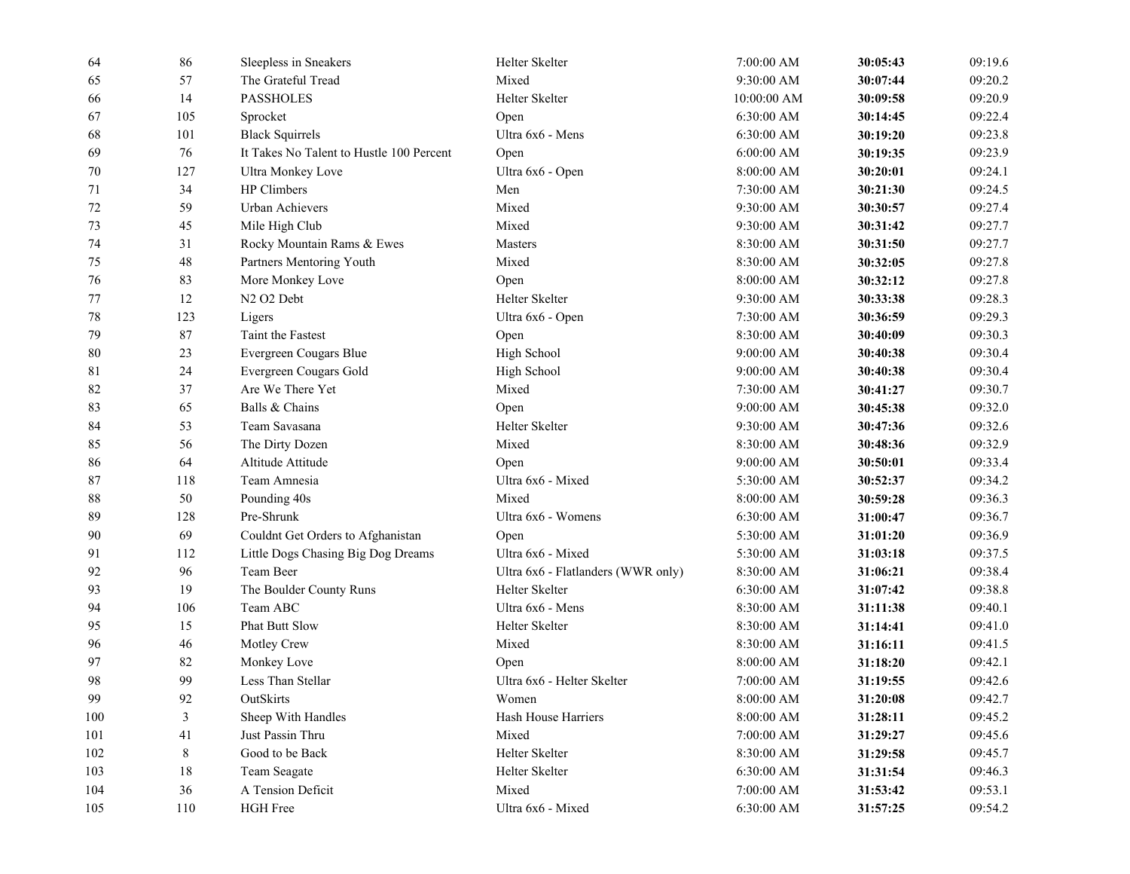| 64  | 86     | Sleepless in Sneakers                    | Helter Skelter                     | 7:00:00 AM            | 30:05:43 | 09:19.6 |
|-----|--------|------------------------------------------|------------------------------------|-----------------------|----------|---------|
| 65  | 57     | The Grateful Tread                       | Mixed                              | 9:30:00 AM            | 30:07:44 | 09:20.2 |
| 66  | 14     | <b>PASSHOLES</b>                         | Helter Skelter                     | 10:00:00 AM           | 30:09:58 | 09:20.9 |
| 67  | 105    | Sprocket                                 | Open                               | 6:30:00 AM            | 30:14:45 | 09:22.4 |
| 68  | 101    | <b>Black Squirrels</b>                   | Ultra 6x6 - Mens                   | 6:30:00 AM            | 30:19:20 | 09:23.8 |
| 69  | 76     | It Takes No Talent to Hustle 100 Percent | Open                               | $6:00:00$ AM          | 30:19:35 | 09:23.9 |
| 70  | 127    | <b>Ultra Monkey Love</b>                 | Ultra 6x6 - Open                   | 8:00:00 AM            | 30:20:01 | 09:24.1 |
| 71  | 34     | HP Climbers                              | Men                                | 7:30:00 AM            | 30:21:30 | 09:24.5 |
| 72  | 59     | Urban Achievers                          | Mixed                              | 9:30:00 AM            | 30:30:57 | 09:27.4 |
| 73  | 45     | Mile High Club                           | Mixed                              | 9:30:00 AM            | 30:31:42 | 09:27.7 |
| 74  | 31     | Rocky Mountain Rams & Ewes               | Masters                            | 8:30:00 AM            | 30:31:50 | 09:27.7 |
| 75  | 48     | Partners Mentoring Youth                 | Mixed                              | 8:30:00 AM            | 30:32:05 | 09:27.8 |
| 76  | 83     | More Monkey Love                         | Open                               | 8:00:00 AM            | 30:32:12 | 09:27.8 |
| 77  | 12     | N <sub>2</sub> O <sub>2</sub> Debt       | Helter Skelter                     | 9:30:00 AM            | 30:33:38 | 09:28.3 |
| 78  | 123    | Ligers                                   | Ultra 6x6 - Open                   | 7:30:00 AM            | 30:36:59 | 09:29.3 |
| 79  | 87     | Taint the Fastest                        | Open                               | 8:30:00 AM            | 30:40:09 | 09:30.3 |
| 80  | 23     | Evergreen Cougars Blue                   | High School                        | 9:00:00 AM            | 30:40:38 | 09:30.4 |
| 81  | 24     | Evergreen Cougars Gold                   | High School                        | 9:00:00 AM            | 30:40:38 | 09:30.4 |
| 82  | 37     | Are We There Yet                         | Mixed                              | 7:30:00 AM            | 30:41:27 | 09:30.7 |
| 83  | 65     | Balls & Chains                           | Open                               | $9:00:00$ AM          | 30:45:38 | 09:32.0 |
| 84  | 53     | Team Savasana                            | Helter Skelter                     | 9:30:00 AM            | 30:47:36 | 09:32.6 |
| 85  | 56     | The Dirty Dozen                          | Mixed                              | 8:30:00 AM            | 30:48:36 | 09:32.9 |
| 86  | 64     | Altitude Attitude                        | Open                               | 9:00:00 AM            | 30:50:01 | 09:33.4 |
| 87  | 118    | Team Amnesia                             | Ultra 6x6 - Mixed                  | 5:30:00 AM            | 30:52:37 | 09:34.2 |
| 88  | 50     | Pounding 40s                             | Mixed                              | 8:00:00 AM            | 30:59:28 | 09:36.3 |
| 89  | 128    | Pre-Shrunk                               | Ultra 6x6 - Womens                 | 6:30:00 AM            | 31:00:47 | 09:36.7 |
| 90  | 69     | Couldnt Get Orders to Afghanistan        | Open                               | 5:30:00 AM            | 31:01:20 | 09:36.9 |
| 91  | 112    | Little Dogs Chasing Big Dog Dreams       | Ultra 6x6 - Mixed                  | 5:30:00 AM            | 31:03:18 | 09:37.5 |
| 92  | 96     | Team Beer                                | Ultra 6x6 - Flatlanders (WWR only) | 8:30:00 AM            | 31:06:21 | 09:38.4 |
| 93  | 19     | The Boulder County Runs                  | Helter Skelter                     | 6:30:00 AM            | 31:07:42 | 09:38.8 |
| 94  | 106    | Team ABC                                 | Ultra 6x6 - Mens                   | 8:30:00 AM            | 31:11:38 | 09:40.1 |
| 95  | 15     | Phat Butt Slow                           | Helter Skelter                     | 8:30:00 AM            | 31:14:41 | 09:41.0 |
| 96  | 46     | Motley Crew                              | Mixed                              | 8:30:00 AM            | 31:16:11 | 09:41.5 |
| 97  | 82     | Monkey Love                              | Open                               | 8:00:00 AM            | 31:18:20 | 09:42.1 |
| 98  | 99     | Less Than Stellar                        | Ultra 6x6 - Helter Skelter         | 7:00:00 AM            | 31:19:55 | 09:42.6 |
| 99  | 92     | OutSkirts                                | Women                              | 8:00:00 AM            | 31:20:08 | 09:42.7 |
| 100 | 3      | Sheep With Handles                       | Hash House Harriers                | 8:00:00 AM            | 31:28:11 | 09:45.2 |
| 101 | 41     | Just Passin Thru                         | Mixed                              | 7:00:00 AM            | 31:29:27 | 09:45.6 |
| 102 | 8      | Good to be Back                          | Helter Skelter                     | 8:30:00 AM            | 31:29:58 | 09:45.7 |
| 103 | 18     | Team Seagate                             | Helter Skelter                     | 6:30:00 AM            | 31:31:54 | 09:46.3 |
| 104 | $36\,$ | A Tension Deficit                        | Mixed                              | 7:00:00 AM            | 31:53:42 | 09:53.1 |
| 105 | 110    | HGH Free                                 | Ultra 6x6 - Mixed                  | $6:30:00~\mathrm{AM}$ | 31:57:25 | 09:54.2 |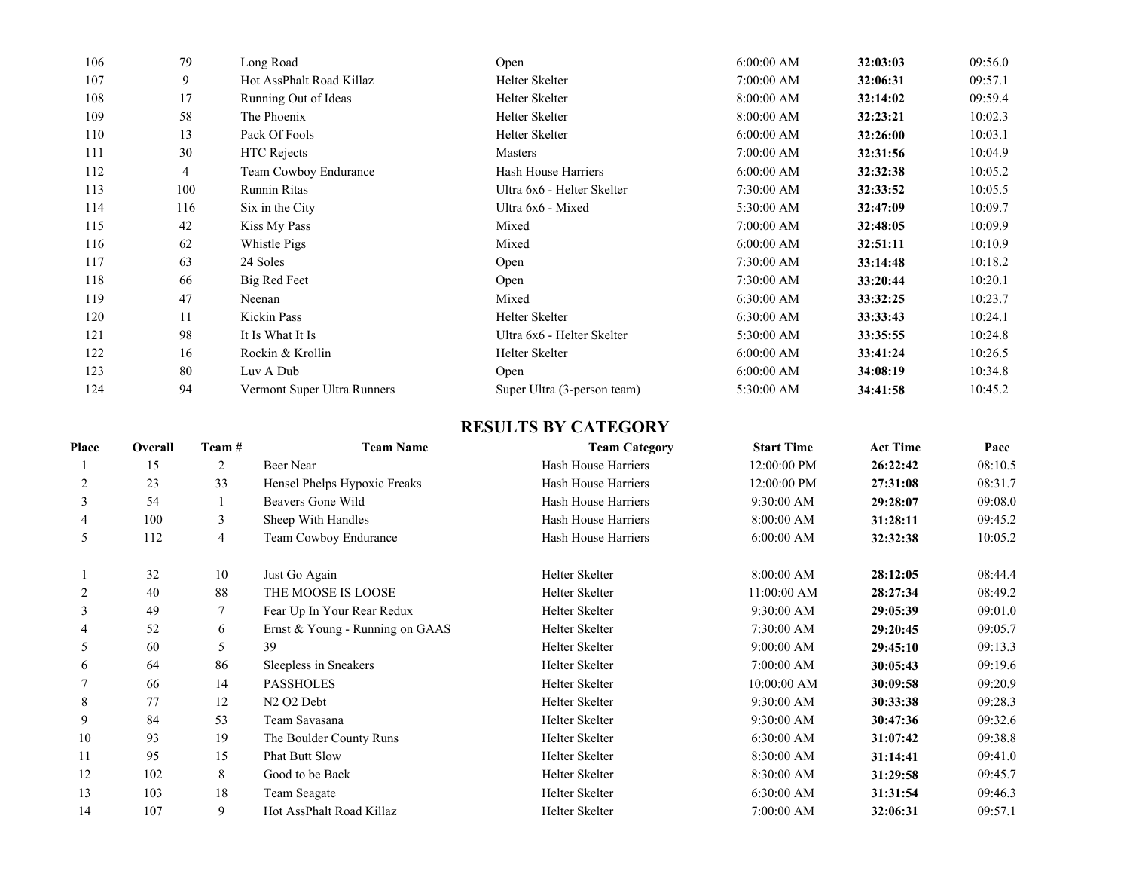| 106 | 79  | Long Road                   | Open                        | 6:00:00 AM   | 32:03:03 | 09:56.0 |
|-----|-----|-----------------------------|-----------------------------|--------------|----------|---------|
| 107 | 9   | Hot AssPhalt Road Killaz    | Helter Skelter              | 7:00:00 AM   | 32:06:31 | 09:57.1 |
| 108 | 17  | Running Out of Ideas        | Helter Skelter              | 8:00:00 AM   | 32:14:02 | 09:59.4 |
| 109 | 58  | The Phoenix                 | Helter Skelter              | 8:00:00 AM   | 32:23:21 | 10:02.3 |
| 110 | 13  | Pack Of Fools               | Helter Skelter              | 6:00:00 AM   | 32:26:00 | 10:03.1 |
| 111 | 30  | <b>HTC</b> Rejects          | Masters                     | 7:00:00 AM   | 32:31:56 | 10:04.9 |
| 112 | 4   | Team Cowboy Endurance       | Hash House Harriers         | $6:00:00$ AM | 32:32:38 | 10:05.2 |
| 113 | 100 | <b>Runnin Ritas</b>         | Ultra 6x6 - Helter Skelter  | 7:30:00 AM   | 32:33:52 | 10:05.5 |
| 114 | 116 | Six in the City             | Ultra 6x6 - Mixed           | 5:30:00 AM   | 32:47:09 | 10:09.7 |
| 115 | 42  | Kiss My Pass                | Mixed                       | 7:00:00 AM   | 32:48:05 | 10:09.9 |
| 116 | 62  | Whistle Pigs                | Mixed                       | $6:00:00$ AM | 32:51:11 | 10:10.9 |
| 117 | 63  | 24 Soles                    | Open                        | 7:30:00 AM   | 33:14:48 | 10:18.2 |
| 118 | 66  | Big Red Feet                | Open                        | 7:30:00 AM   | 33:20:44 | 10:20.1 |
| 119 | 47  | Neenan                      | Mixed                       | $6:30:00$ AM | 33:32:25 | 10:23.7 |
| 120 | 11  | Kickin Pass                 | Helter Skelter              | $6:30:00$ AM | 33:33:43 | 10:24.1 |
| 121 | 98  | It Is What It Is            | Ultra 6x6 - Helter Skelter  | 5:30:00 AM   | 33:35:55 | 10:24.8 |
| 122 | 16  | Rockin & Krollin            | Helter Skelter              | 6:00:00 AM   | 33:41:24 | 10:26.5 |
| 123 | 80  | Luv A Dub                   | Open                        | $6:00:00$ AM | 34:08:19 | 10:34.8 |
| 124 | 94  | Vermont Super Ultra Runners | Super Ultra (3-person team) | 5:30:00 AM   | 34:41:58 | 10:45.2 |

## **RESULTS BY CATEGORY**

| Place | Overall | Team# | <b>Team Name</b>                   | <b>Team Category</b> | <b>Start Time</b> | <b>Act Time</b> | Pace    |
|-------|---------|-------|------------------------------------|----------------------|-------------------|-----------------|---------|
|       | 15      | 2     | Beer Near                          | Hash House Harriers  | 12:00:00 PM       | 26:22:42        | 08:10.5 |
| 2     | 23      | 33    | Hensel Phelps Hypoxic Freaks       | Hash House Harriers  | 12:00:00 PM       | 27:31:08        | 08:31.7 |
| 3     | 54      |       | Beavers Gone Wild                  | Hash House Harriers  | 9:30:00 AM        | 29:28:07        | 09:08.0 |
| 4     | 100     | 3     | Sheep With Handles                 | Hash House Harriers  | 8:00:00 AM        | 31:28:11        | 09:45.2 |
| 5     | 112     | 4     | Team Cowboy Endurance              | Hash House Harriers  | $6:00:00$ AM      | 32:32:38        | 10:05.2 |
|       | 32      | 10    | Just Go Again                      | Helter Skelter       | 8:00:00 AM        | 28:12:05        | 08:44.4 |
|       | 40      | 88    | THE MOOSE IS LOOSE                 | Helter Skelter       | 11:00:00 AM       | 28:27:34        | 08:49.2 |
| 3     | 49      |       | Fear Up In Your Rear Redux         | Helter Skelter       | 9:30:00 AM        | 29:05:39        | 09:01.0 |
|       | 52      | 6     | Ernst & Young - Running on GAAS    | Helter Skelter       | 7:30:00 AM        | 29:20:45        | 09:05.7 |
| 5     | 60      | 5.    | 39                                 | Helter Skelter       | 9:00:00 AM        | 29:45:10        | 09:13.3 |
| 6     | 64      | 86    | Sleepless in Sneakers              | Helter Skelter       | 7:00:00 AM        | 30:05:43        | 09:19.6 |
|       | 66      | 14    | <b>PASSHOLES</b>                   | Helter Skelter       | 10:00:00 AM       | 30:09:58        | 09:20.9 |
| 8     | 77      | 12    | N <sub>2</sub> O <sub>2</sub> Debt | Helter Skelter       | 9:30:00 AM        | 30:33:38        | 09:28.3 |
| 9     | 84      | 53    | Team Savasana                      | Helter Skelter       | 9:30:00 AM        | 30:47:36        | 09:32.6 |
| 10    | 93      | 19    | The Boulder County Runs            | Helter Skelter       | 6:30:00 AM        | 31:07:42        | 09:38.8 |
| 11    | 95      | 15    | <b>Phat Butt Slow</b>              | Helter Skelter       | 8:30:00 AM        | 31:14:41        | 09:41.0 |
| 12    | 102     | 8     | Good to be Back                    | Helter Skelter       | 8:30:00 AM        | 31:29:58        | 09:45.7 |
| 13    | 103     | 18    | Team Seagate                       | Helter Skelter       | 6:30:00 AM        | 31:31:54        | 09:46.3 |
| 14    | 107     | 9     | Hot AssPhalt Road Killaz           | Helter Skelter       | 7:00:00 AM        | 32:06:31        | 09:57.1 |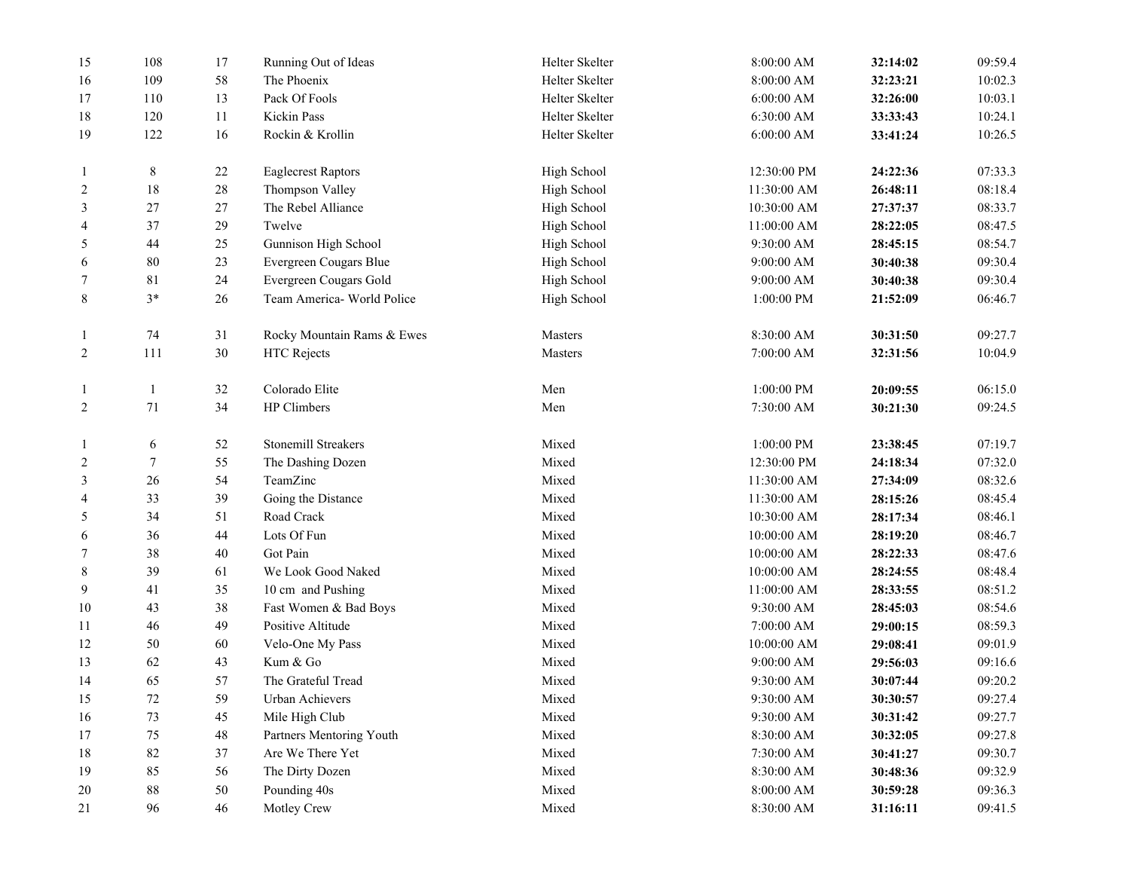| 15             | 108              | 17     | Running Out of Ideas       | Helter Skelter | 8:00:00 AM  | 32:14:02 | 09:59.4 |
|----------------|------------------|--------|----------------------------|----------------|-------------|----------|---------|
| 16             | 109              | $58\,$ | The Phoenix                | Helter Skelter | 8:00:00 AM  | 32:23:21 | 10:02.3 |
| 17             | 110              | 13     | Pack Of Fools              | Helter Skelter | 6:00:00 AM  | 32:26:00 | 10:03.1 |
| 18             | 120              | 11     | Kickin Pass                | Helter Skelter | 6:30:00 AM  | 33:33:43 | 10:24.1 |
| 19             | 122              | 16     | Rockin & Krollin           | Helter Skelter | 6:00:00 AM  | 33:41:24 | 10:26.5 |
| 1              | $8\,$            | 22     | <b>Eaglecrest Raptors</b>  | High School    | 12:30:00 PM | 24:22:36 | 07:33.3 |
| 2              | 18               | $28\,$ | Thompson Valley            | High School    | 11:30:00 AM | 26:48:11 | 08:18.4 |
| 3              | $27\,$           | 27     | The Rebel Alliance         | High School    | 10:30:00 AM | 27:37:37 | 08:33.7 |
| 4              | 37               | 29     | Twelve                     | High School    | 11:00:00 AM | 28:22:05 | 08:47.5 |
| 5              | 44               | $25\,$ | Gunnison High School       | High School    | 9:30:00 AM  | 28:45:15 | 08:54.7 |
| 6              | $80\,$           | 23     | Evergreen Cougars Blue     | High School    | 9:00:00 AM  | 30:40:38 | 09:30.4 |
| 7              | 81               | 24     | Evergreen Cougars Gold     | High School    | 9:00:00 AM  | 30:40:38 | 09:30.4 |
| 8              | $3*$             | 26     | Team America- World Police | High School    | 1:00:00 PM  | 21:52:09 | 06:46.7 |
| $\mathbf{1}$   | 74               | 31     | Rocky Mountain Rams & Ewes | Masters        | 8:30:00 AM  | 30:31:50 | 09:27.7 |
| $\overline{c}$ | 111              | 30     | <b>HTC</b> Rejects         | Masters        | 7:00:00 AM  | 32:31:56 | 10:04.9 |
| 1              | $\mathbf{1}$     | 32     | Colorado Elite             | Men            | 1:00:00 PM  | 20:09:55 | 06:15.0 |
| $\overline{c}$ | $71\,$           | 34     | HP Climbers                | Men            | 7:30:00 AM  | 30:21:30 | 09:24.5 |
| 1              | 6                | 52     | Stonemill Streakers        | Mixed          | 1:00:00 PM  | 23:38:45 | 07:19.7 |
| 2              | $\boldsymbol{7}$ | 55     | The Dashing Dozen          | Mixed          | 12:30:00 PM | 24:18:34 | 07:32.0 |
| 3              | $26\,$           | 54     | TeamZinc                   | Mixed          | 11:30:00 AM | 27:34:09 | 08:32.6 |
| 4              | 33               | 39     | Going the Distance         | Mixed          | 11:30:00 AM | 28:15:26 | 08:45.4 |
| 5              | 34               | 51     | Road Crack                 | Mixed          | 10:30:00 AM | 28:17:34 | 08:46.1 |
| 6              | 36               | $44\,$ | Lots Of Fun                | Mixed          | 10:00:00 AM | 28:19:20 | 08:46.7 |
| 7              | $38\,$           | 40     | Got Pain                   | Mixed          | 10:00:00 AM | 28:22:33 | 08:47.6 |
| 8              | 39               | 61     | We Look Good Naked         | Mixed          | 10:00:00 AM | 28:24:55 | 08:48.4 |
| 9              | 41               | 35     | 10 cm and Pushing          | Mixed          | 11:00:00 AM | 28:33:55 | 08:51.2 |
| 10             | 43               | 38     | Fast Women & Bad Boys      | Mixed          | 9:30:00 AM  | 28:45:03 | 08:54.6 |
| 11             | 46               | 49     | Positive Altitude          | Mixed          | 7:00:00 AM  | 29:00:15 | 08:59.3 |
| 12             | $50\,$           | 60     | Velo-One My Pass           | Mixed          | 10:00:00 AM | 29:08:41 | 09:01.9 |
| 13             | 62               | 43     | Kum & Go                   | Mixed          | 9:00:00 AM  | 29:56:03 | 09:16.6 |
| 14             | 65               | 57     | The Grateful Tread         | Mixed          | 9:30:00 AM  | 30:07:44 | 09:20.2 |
| 15             | 72               | 59     | Urban Achievers            | Mixed          | 9:30:00 AM  | 30:30:57 | 09:27.4 |
| 16             | 73               | 45     | Mile High Club             | Mixed          | 9:30:00 AM  | 30:31:42 | 09:27.7 |
| 17             | $75\,$           | $48\,$ | Partners Mentoring Youth   | Mixed          | 8:30:00 AM  | 30:32:05 | 09:27.8 |
| 18             | 82               | 37     | Are We There Yet           | Mixed          | 7:30:00 AM  | 30:41:27 | 09:30.7 |
| 19             | 85               | 56     | The Dirty Dozen            | Mixed          | 8:30:00 AM  | 30:48:36 | 09:32.9 |
| 20             | $88\,$           | $50\,$ | Pounding 40s               | Mixed          | 8:00:00 AM  | 30:59:28 | 09:36.3 |
| 21             | 96               | 46     | Motley Crew                | Mixed          | 8:30:00 AM  | 31:16:11 | 09:41.5 |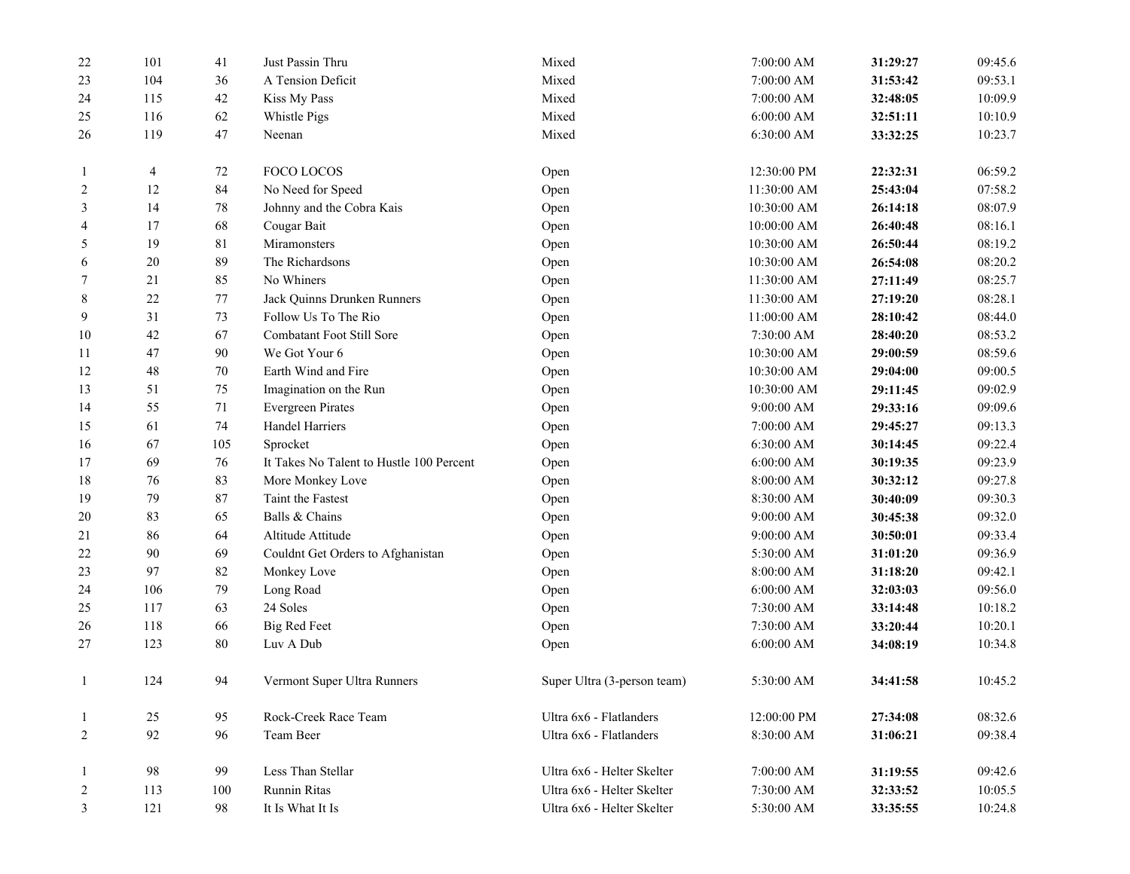| 22             | 101    | 41     | Just Passin Thru                         | Mixed                       | 7:00:00 AM   | 31:29:27 | 09:45.6 |
|----------------|--------|--------|------------------------------------------|-----------------------------|--------------|----------|---------|
| 23             | 104    | 36     | A Tension Deficit                        | Mixed                       | 7:00:00 AM   | 31:53:42 | 09:53.1 |
| 24             | 115    | 42     | Kiss My Pass                             | Mixed                       | 7:00:00 AM   | 32:48:05 | 10:09.9 |
| 25             | 116    | 62     | Whistle Pigs                             | Mixed                       | 6:00:00 AM   | 32:51:11 | 10:10.9 |
| 26             | 119    | 47     | Neenan                                   | Mixed                       | 6:30:00 AM   | 33:32:25 | 10:23.7 |
|                | 4      | 72     | FOCO LOCOS                               | Open                        | 12:30:00 PM  | 22:32:31 | 06:59.2 |
| $\overline{c}$ | 12     | 84     | No Need for Speed                        | Open                        | 11:30:00 AM  | 25:43:04 | 07:58.2 |
| 3              | 14     | $78\,$ | Johnny and the Cobra Kais                | Open                        | 10:30:00 AM  | 26:14:18 | 08:07.9 |
| 4              | 17     | 68     | Cougar Bait                              | Open                        | 10:00:00 AM  | 26:40:48 | 08:16.1 |
| 5              | 19     | $81\,$ | Miramonsters                             | Open                        | 10:30:00 AM  | 26:50:44 | 08:19.2 |
| 6              | $20\,$ | 89     | The Richardsons                          | Open                        | 10:30:00 AM  | 26:54:08 | 08:20.2 |
| 7              | 21     | 85     | No Whiners                               | Open                        | 11:30:00 AM  | 27:11:49 | 08:25.7 |
| $\,8\,$        | 22     | 77     | Jack Quinns Drunken Runners              | Open                        | 11:30:00 AM  | 27:19:20 | 08:28.1 |
| 9              | 31     | 73     | Follow Us To The Rio                     | Open                        | 11:00:00 AM  | 28:10:42 | 08:44.0 |
| 10             | $42\,$ | 67     | Combatant Foot Still Sore                | Open                        | 7:30:00 AM   | 28:40:20 | 08:53.2 |
| 11             | 47     | 90     | We Got Your 6                            | Open                        | 10:30:00 AM  | 29:00:59 | 08:59.6 |
| 12             | $48\,$ | 70     | Earth Wind and Fire                      | Open                        | 10:30:00 AM  | 29:04:00 | 09:00.5 |
| 13             | 51     | 75     | Imagination on the Run                   | Open                        | 10:30:00 AM  | 29:11:45 | 09:02.9 |
| 14             | 55     | 71     | <b>Evergreen Pirates</b>                 | Open                        | 9:00:00 AM   | 29:33:16 | 09:09.6 |
| 15             | 61     | 74     | Handel Harriers                          | Open                        | 7:00:00 AM   | 29:45:27 | 09:13.3 |
| 16             | 67     | 105    | Sprocket                                 | Open                        | 6:30:00 AM   | 30:14:45 | 09:22.4 |
| 17             | 69     | 76     | It Takes No Talent to Hustle 100 Percent | Open                        | $6:00:00$ AM | 30:19:35 | 09:23.9 |
| 18             | 76     | 83     | More Monkey Love                         | Open                        | 8:00:00 AM   | 30:32:12 | 09:27.8 |
| 19             | 79     | 87     | Taint the Fastest                        | Open                        | 8:30:00 AM   | 30:40:09 | 09:30.3 |
| 20             | 83     | 65     | Balls & Chains                           | Open                        | 9:00:00 AM   | 30:45:38 | 09:32.0 |
| 21             | 86     | 64     | Altitude Attitude                        | Open                        | 9:00:00 AM   | 30:50:01 | 09:33.4 |
| 22             | 90     | 69     | Couldnt Get Orders to Afghanistan        | Open                        | 5:30:00 AM   | 31:01:20 | 09:36.9 |
| 23             | 97     | 82     | Monkey Love                              | Open                        | 8:00:00 AM   | 31:18:20 | 09:42.1 |
| 24             | 106    | 79     | Long Road                                | Open                        | 6:00:00 AM   | 32:03:03 | 09:56.0 |
| 25             | 117    | 63     | 24 Soles                                 | Open                        | 7:30:00 AM   | 33:14:48 | 10:18.2 |
| 26             | 118    | 66     | <b>Big Red Feet</b>                      | Open                        | 7:30:00 AM   | 33:20:44 | 10:20.1 |
| 27             | 123    | $80\,$ | Luv A Dub                                | Open                        | 6:00:00 AM   | 34:08:19 | 10:34.8 |
| 1              | 124    | 94     | Vermont Super Ultra Runners              | Super Ultra (3-person team) | 5:30:00 AM   | 34:41:58 | 10:45.2 |
| -1             | 25     | 95     | Rock-Creek Race Team                     | Ultra 6x6 - Flatlanders     | 12:00:00 PM  | 27:34:08 | 08:32.6 |
| $\overline{c}$ | 92     | 96     | Team Beer                                | Ultra 6x6 - Flatlanders     | 8:30:00 AM   | 31:06:21 | 09:38.4 |
|                | 98     | 99     | Less Than Stellar                        | Ultra 6x6 - Helter Skelter  | 7:00:00 AM   | 31:19:55 | 09:42.6 |
| 2              | 113    | 100    | Runnin Ritas                             | Ultra 6x6 - Helter Skelter  | 7:30:00 AM   | 32:33:52 | 10:05.5 |
| 3              | 121    | 98     | It Is What It Is                         | Ultra 6x6 - Helter Skelter  | 5:30:00 AM   | 33:35:55 | 10:24.8 |